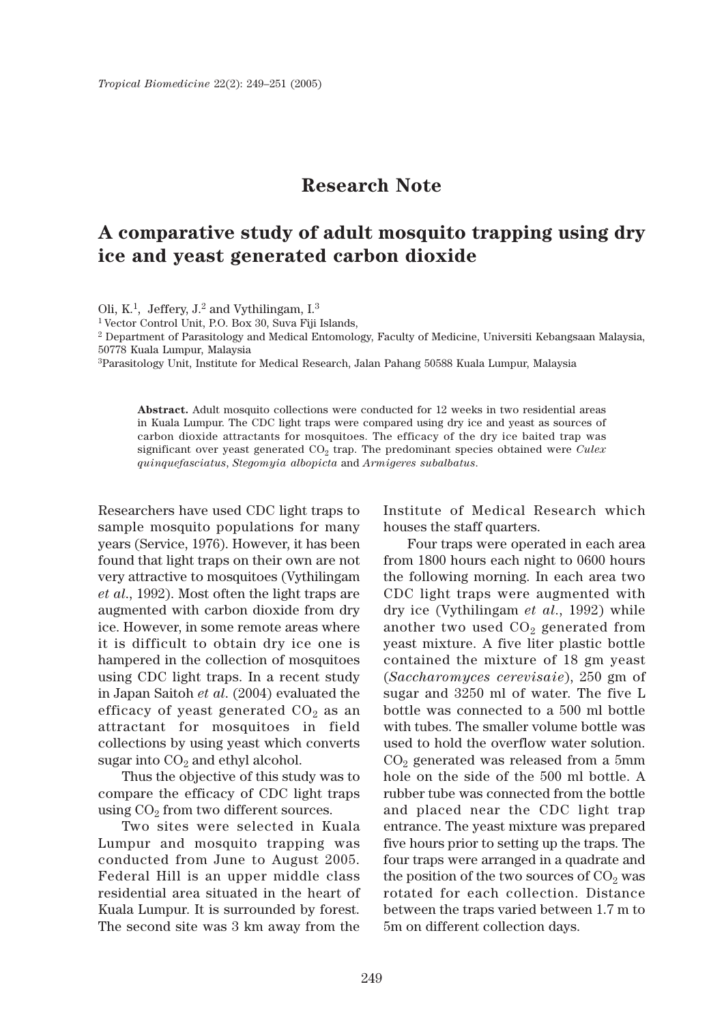## **Research Note**

## **A comparative study of adult mosquito trapping using dry ice and yeast generated carbon dioxide**

Oli, K.<sup>1</sup>, Jeffery, J.<sup>2</sup> and Vythilingam,  $I^{3}$ 

1 Vector Control Unit, P.O. Box 30, Suva Fiji Islands,

2 Department of Parasitology and Medical Entomology, Faculty of Medicine, Universiti Kebangsaan Malaysia, 50778 Kuala Lumpur, Malaysia

3Parasitology Unit, Institute for Medical Research, Jalan Pahang 50588 Kuala Lumpur, Malaysia

**Abstract.** Adult mosquito collections were conducted for 12 weeks in two residential areas in Kuala Lumpur. The CDC light traps were compared using dry ice and yeast as sources of carbon dioxide attractants for mosquitoes. The efficacy of the dry ice baited trap was significant over yeast generated  $CO<sub>2</sub>$  trap. The predominant species obtained were *Culex quinquefasciatus*, *Stegomyia albopicta* and *Armigeres subalbatus*.

Researchers have used CDC light traps to sample mosquito populations for many years (Service, 1976). However, it has been found that light traps on their own are not very attractive to mosquitoes (Vythilingam *et al*., 1992). Most often the light traps are augmented with carbon dioxide from dry ice. However, in some remote areas where it is difficult to obtain dry ice one is hampered in the collection of mosquitoes using CDC light traps. In a recent study in Japan Saitoh *et al*. (2004) evaluated the efficacy of yeast generated  $CO<sub>2</sub>$  as an attractant for mosquitoes in field collections by using yeast which converts sugar into  $CO<sub>2</sub>$  and ethyl alcohol.

Thus the objective of this study was to compare the efficacy of CDC light traps using  $CO<sub>2</sub>$  from two different sources.

Two sites were selected in Kuala Lumpur and mosquito trapping was conducted from June to August 2005. Federal Hill is an upper middle class residential area situated in the heart of Kuala Lumpur. It is surrounded by forest. The second site was 3 km away from the

Institute of Medical Research which houses the staff quarters.

Four traps were operated in each area from 1800 hours each night to 0600 hours the following morning. In each area two CDC light traps were augmented with dry ice (Vythilingam *et al*., 1992) while another two used  $CO<sub>2</sub>$  generated from yeast mixture. A five liter plastic bottle contained the mixture of 18 gm yeast (*Saccharomyces cerevisaie*), 250 gm of sugar and 3250 ml of water. The five L bottle was connected to a 500 ml bottle with tubes. The smaller volume bottle was used to hold the overflow water solution.  $CO<sub>2</sub>$  generated was released from a 5mm hole on the side of the 500 ml bottle. A rubber tube was connected from the bottle and placed near the CDC light trap entrance. The yeast mixture was prepared five hours prior to setting up the traps. The four traps were arranged in a quadrate and the position of the two sources of  $CO<sub>2</sub>$  was rotated for each collection. Distance between the traps varied between 1.7 m to 5m on different collection days.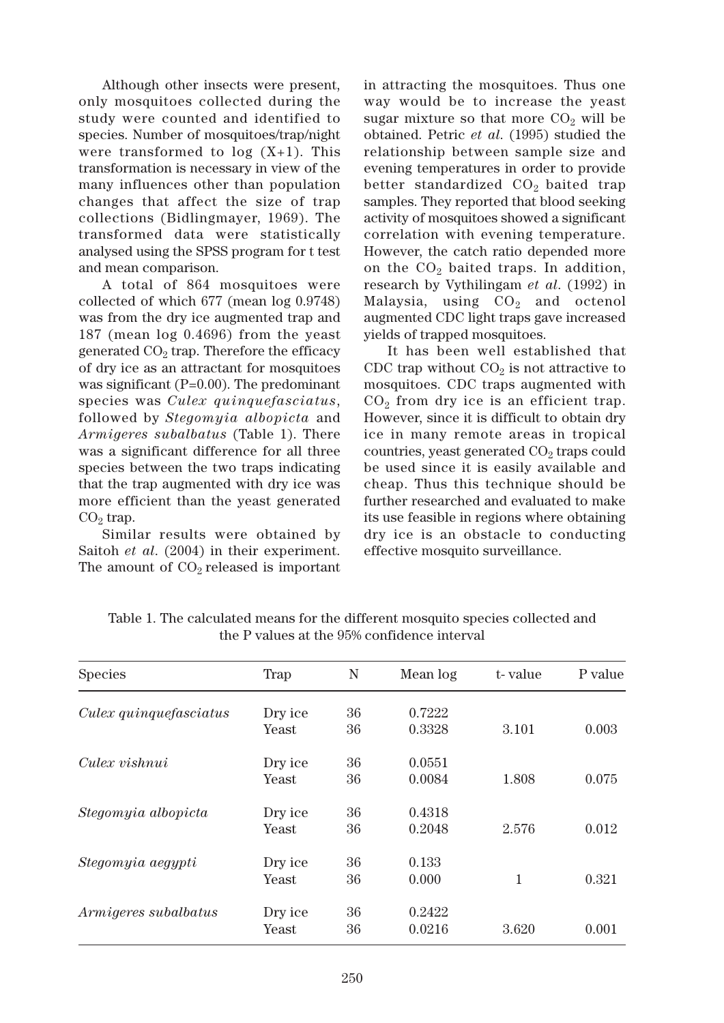Although other insects were present, only mosquitoes collected during the study were counted and identified to species. Number of mosquitoes/trap/night were transformed to  $log(X+1)$ . This transformation is necessary in view of the many influences other than population changes that affect the size of trap collections (Bidlingmayer, 1969). The transformed data were statistically analysed using the SPSS program for t test and mean comparison.

A total of 864 mosquitoes were collected of which 677 (mean log 0.9748) was from the dry ice augmented trap and 187 (mean log 0.4696) from the yeast generated  $CO<sub>2</sub>$  trap. Therefore the efficacy of dry ice as an attractant for mosquitoes was significant  $(P=0.00)$ . The predominant species was *Culex quinquefasciatus*, followed by *Stegomyia albopicta* and *Armigeres subalbatus* (Table 1). There was a significant difference for all three species between the two traps indicating that the trap augmented with dry ice was more efficient than the yeast generated  $CO<sub>2</sub>$  trap.

Similar results were obtained by Saitoh *et al*. (2004) in their experiment. The amount of  $CO<sub>2</sub>$  released is important in attracting the mosquitoes. Thus one way would be to increase the yeast sugar mixture so that more  $CO<sub>2</sub>$  will be obtained. Petric *et al*. (1995) studied the relationship between sample size and evening temperatures in order to provide better standardized  $CO<sub>2</sub>$  baited trap samples. They reported that blood seeking activity of mosquitoes showed a significant correlation with evening temperature. However, the catch ratio depended more on the  $CO<sub>2</sub>$  baited traps. In addition, research by Vythilingam *et al*. (1992) in Malaysia, using  $CO<sub>2</sub>$  and octenol augmented CDC light traps gave increased yields of trapped mosquitoes.

It has been well established that CDC trap without  $CO<sub>2</sub>$  is not attractive to mosquitoes. CDC traps augmented with  $CO<sub>2</sub>$  from dry ice is an efficient trap. However, since it is difficult to obtain dry ice in many remote areas in tropical countries, yeast generated  $CO<sub>2</sub>$  traps could be used since it is easily available and cheap. Thus this technique should be further researched and evaluated to make its use feasible in regions where obtaining dry ice is an obstacle to conducting effective mosquito surveillance.

| <b>Species</b>         | Trap    | N  | Mean log | t-value | P value |
|------------------------|---------|----|----------|---------|---------|
| Culex quinquefasciatus | Dry ice | 36 | 0.7222   |         |         |
|                        | Yeast   | 36 | 0.3328   | 3.101   | 0.003   |
| Culex vishnui          | Dry ice | 36 | 0.0551   |         |         |
|                        | Yeast   | 36 | 0.0084   | 1.808   | 0.075   |
| Stegomyia albopicta    | Dry ice | 36 | 0.4318   |         |         |
|                        | Yeast   | 36 | 0.2048   | 2.576   | 0.012   |
| Stegomyia aegypti      | Dry ice | 36 | 0.133    |         |         |
|                        | Yeast   | 36 | 0.000    | 1       | 0.321   |
| Armigeres subalbatus   | Dry ice | 36 | 0.2422   |         |         |
|                        | Yeast   | 36 | 0.0216   | 3.620   | 0.001   |

Table 1. The calculated means for the different mosquito species collected and the P values at the 95% confidence interval